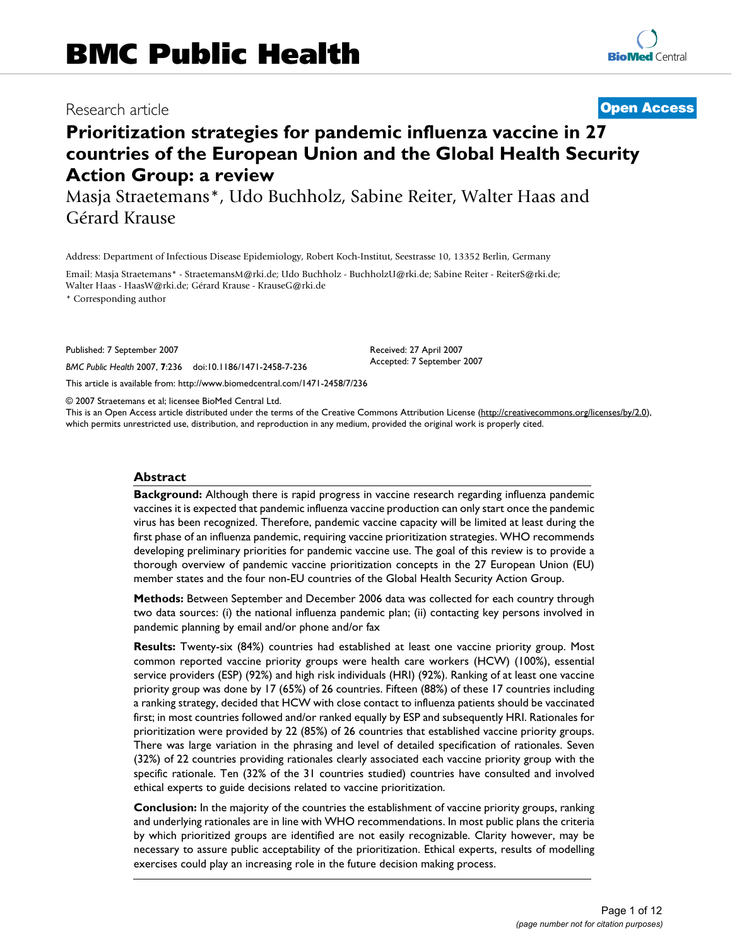# Research article **[Open Access](http://www.biomedcentral.com/info/about/charter/)**

# **Prioritization strategies for pandemic influenza vaccine in 27 countries of the European Union and the Global Health Security Action Group: a review**

Masja Straetemans\*, Udo Buchholz, Sabine Reiter, Walter Haas and Gérard Krause

Address: Department of Infectious Disease Epidemiology, Robert Koch-Institut, Seestrasse 10, 13352 Berlin, Germany

Email: Masja Straetemans\* - StraetemansM@rki.de; Udo Buchholz - BuchholzU@rki.de; Sabine Reiter - ReiterS@rki.de; Walter Haas - HaasW@rki.de; Gérard Krause - KrauseG@rki.de

\* Corresponding author

Published: 7 September 2007

*BMC Public Health* 2007, **7**:236 doi:10.1186/1471-2458-7-236

[This article is available from: http://www.biomedcentral.com/1471-2458/7/236](http://www.biomedcentral.com/1471-2458/7/236)

© 2007 Straetemans et al; licensee BioMed Central Ltd.

This is an Open Access article distributed under the terms of the Creative Commons Attribution License [\(http://creativecommons.org/licenses/by/2.0\)](http://creativecommons.org/licenses/by/2.0), which permits unrestricted use, distribution, and reproduction in any medium, provided the original work is properly cited.

Received: 27 April 2007 Accepted: 7 September 2007

#### **Abstract**

**Background:** Although there is rapid progress in vaccine research regarding influenza pandemic vaccines it is expected that pandemic influenza vaccine production can only start once the pandemic virus has been recognized. Therefore, pandemic vaccine capacity will be limited at least during the first phase of an influenza pandemic, requiring vaccine prioritization strategies. WHO recommends developing preliminary priorities for pandemic vaccine use. The goal of this review is to provide a thorough overview of pandemic vaccine prioritization concepts in the 27 European Union (EU) member states and the four non-EU countries of the Global Health Security Action Group.

**Methods:** Between September and December 2006 data was collected for each country through two data sources: (i) the national influenza pandemic plan; (ii) contacting key persons involved in pandemic planning by email and/or phone and/or fax

**Results:** Twenty-six (84%) countries had established at least one vaccine priority group. Most common reported vaccine priority groups were health care workers (HCW) (100%), essential service providers (ESP) (92%) and high risk individuals (HRI) (92%). Ranking of at least one vaccine priority group was done by 17 (65%) of 26 countries. Fifteen (88%) of these 17 countries including a ranking strategy, decided that HCW with close contact to influenza patients should be vaccinated first; in most countries followed and/or ranked equally by ESP and subsequently HRI. Rationales for prioritization were provided by 22 (85%) of 26 countries that established vaccine priority groups. There was large variation in the phrasing and level of detailed specification of rationales. Seven (32%) of 22 countries providing rationales clearly associated each vaccine priority group with the specific rationale. Ten (32% of the 31 countries studied) countries have consulted and involved ethical experts to guide decisions related to vaccine prioritization.

**Conclusion:** In the majority of the countries the establishment of vaccine priority groups, ranking and underlying rationales are in line with WHO recommendations. In most public plans the criteria by which prioritized groups are identified are not easily recognizable. Clarity however, may be necessary to assure public acceptability of the prioritization. Ethical experts, results of modelling exercises could play an increasing role in the future decision making process.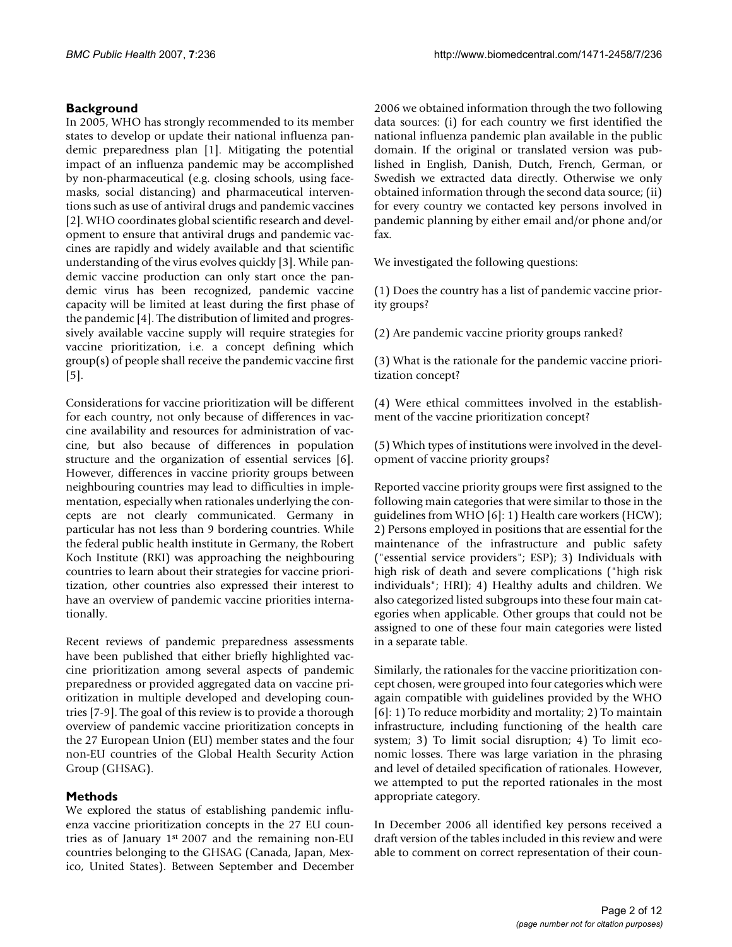# **Background**

In 2005, WHO has strongly recommended to its member states to develop or update their national influenza pandemic preparedness plan [1]. Mitigating the potential impact of an influenza pandemic may be accomplished by non-pharmaceutical (e.g. closing schools, using facemasks, social distancing) and pharmaceutical interventions such as use of antiviral drugs and pandemic vaccines [2]. WHO coordinates global scientific research and development to ensure that antiviral drugs and pandemic vaccines are rapidly and widely available and that scientific understanding of the virus evolves quickly [3]. While pandemic vaccine production can only start once the pandemic virus has been recognized, pandemic vaccine capacity will be limited at least during the first phase of the pandemic [4]. The distribution of limited and progressively available vaccine supply will require strategies for vaccine prioritization, i.e. a concept defining which group(s) of people shall receive the pandemic vaccine first [5].

Considerations for vaccine prioritization will be different for each country, not only because of differences in vaccine availability and resources for administration of vaccine, but also because of differences in population structure and the organization of essential services [6]. However, differences in vaccine priority groups between neighbouring countries may lead to difficulties in implementation, especially when rationales underlying the concepts are not clearly communicated. Germany in particular has not less than 9 bordering countries. While the federal public health institute in Germany, the Robert Koch Institute (RKI) was approaching the neighbouring countries to learn about their strategies for vaccine prioritization, other countries also expressed their interest to have an overview of pandemic vaccine priorities internationally.

Recent reviews of pandemic preparedness assessments have been published that either briefly highlighted vaccine prioritization among several aspects of pandemic preparedness or provided aggregated data on vaccine prioritization in multiple developed and developing countries [7-9]. The goal of this review is to provide a thorough overview of pandemic vaccine prioritization concepts in the 27 European Union (EU) member states and the four non-EU countries of the Global Health Security Action Group (GHSAG).

# **Methods**

We explored the status of establishing pandemic influenza vaccine prioritization concepts in the 27 EU countries as of January  $1<sup>st</sup> 2007$  and the remaining non-EU countries belonging to the GHSAG (Canada, Japan, Mexico, United States). Between September and December 2006 we obtained information through the two following data sources: (i) for each country we first identified the national influenza pandemic plan available in the public domain. If the original or translated version was published in English, Danish, Dutch, French, German, or Swedish we extracted data directly. Otherwise we only obtained information through the second data source; (ii) for every country we contacted key persons involved in pandemic planning by either email and/or phone and/or fax.

We investigated the following questions:

(1) Does the country has a list of pandemic vaccine priority groups?

(2) Are pandemic vaccine priority groups ranked?

(3) What is the rationale for the pandemic vaccine prioritization concept?

(4) Were ethical committees involved in the establishment of the vaccine prioritization concept?

(5) Which types of institutions were involved in the development of vaccine priority groups?

Reported vaccine priority groups were first assigned to the following main categories that were similar to those in the guidelines from WHO [6]: 1) Health care workers (HCW); 2) Persons employed in positions that are essential for the maintenance of the infrastructure and public safety ("essential service providers"; ESP); 3) Individuals with high risk of death and severe complications ("high risk individuals"; HRI); 4) Healthy adults and children. We also categorized listed subgroups into these four main categories when applicable. Other groups that could not be assigned to one of these four main categories were listed in a separate table.

Similarly, the rationales for the vaccine prioritization concept chosen, were grouped into four categories which were again compatible with guidelines provided by the WHO [6]: 1) To reduce morbidity and mortality; 2) To maintain infrastructure, including functioning of the health care system; 3) To limit social disruption; 4) To limit economic losses. There was large variation in the phrasing and level of detailed specification of rationales. However, we attempted to put the reported rationales in the most appropriate category.

In December 2006 all identified key persons received a draft version of the tables included in this review and were able to comment on correct representation of their coun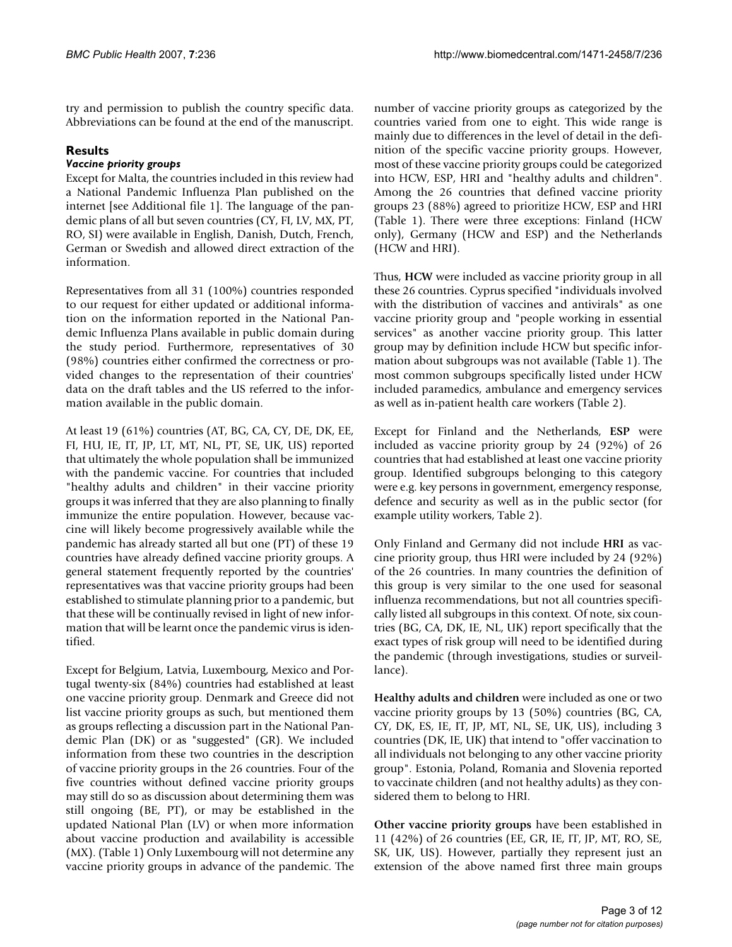try and permission to publish the country specific data. Abbreviations can be found at the end of the manuscript.

# **Results**

## *Vaccine priority groups*

Except for Malta, the countries included in this review had a National Pandemic Influenza Plan published on the internet [see Additional file 1]. The language of the pandemic plans of all but seven countries (CY, FI, LV, MX, PT, RO, SI) were available in English, Danish, Dutch, French, German or Swedish and allowed direct extraction of the information.

Representatives from all 31 (100%) countries responded to our request for either updated or additional information on the information reported in the National Pandemic Influenza Plans available in public domain during the study period. Furthermore, representatives of 30 (98%) countries either confirmed the correctness or provided changes to the representation of their countries' data on the draft tables and the US referred to the information available in the public domain.

At least 19 (61%) countries (AT, BG, CA, CY, DE, DK, EE, FI, HU, IE, IT, JP, LT, MT, NL, PT, SE, UK, US) reported that ultimately the whole population shall be immunized with the pandemic vaccine. For countries that included "healthy adults and children" in their vaccine priority groups it was inferred that they are also planning to finally immunize the entire population. However, because vaccine will likely become progressively available while the pandemic has already started all but one (PT) of these 19 countries have already defined vaccine priority groups. A general statement frequently reported by the countries' representatives was that vaccine priority groups had been established to stimulate planning prior to a pandemic, but that these will be continually revised in light of new information that will be learnt once the pandemic virus is identified.

Except for Belgium, Latvia, Luxembourg, Mexico and Portugal twenty-six (84%) countries had established at least one vaccine priority group. Denmark and Greece did not list vaccine priority groups as such, but mentioned them as groups reflecting a discussion part in the National Pandemic Plan (DK) or as "suggested" (GR). We included information from these two countries in the description of vaccine priority groups in the 26 countries. Four of the five countries without defined vaccine priority groups may still do so as discussion about determining them was still ongoing (BE, PT), or may be established in the updated National Plan (LV) or when more information about vaccine production and availability is accessible (MX). (Table 1) Only Luxembourg will not determine any vaccine priority groups in advance of the pandemic. The number of vaccine priority groups as categorized by the countries varied from one to eight. This wide range is mainly due to differences in the level of detail in the definition of the specific vaccine priority groups. However, most of these vaccine priority groups could be categorized into HCW, ESP, HRI and "healthy adults and children". Among the 26 countries that defined vaccine priority groups 23 (88%) agreed to prioritize HCW, ESP and HRI (Table 1). There were three exceptions: Finland (HCW only), Germany (HCW and ESP) and the Netherlands (HCW and HRI).

Thus, **HCW** were included as vaccine priority group in all these 26 countries. Cyprus specified "individuals involved with the distribution of vaccines and antivirals" as one vaccine priority group and "people working in essential services" as another vaccine priority group. This latter group may by definition include HCW but specific information about subgroups was not available (Table 1). The most common subgroups specifically listed under HCW included paramedics, ambulance and emergency services as well as in-patient health care workers (Table 2).

Except for Finland and the Netherlands, **ESP** were included as vaccine priority group by 24 (92%) of 26 countries that had established at least one vaccine priority group. Identified subgroups belonging to this category were e.g. key persons in government, emergency response, defence and security as well as in the public sector (for example utility workers, Table 2).

Only Finland and Germany did not include **HRI** as vaccine priority group, thus HRI were included by 24 (92%) of the 26 countries. In many countries the definition of this group is very similar to the one used for seasonal influenza recommendations, but not all countries specifically listed all subgroups in this context. Of note, six countries (BG, CA, DK, IE, NL, UK) report specifically that the exact types of risk group will need to be identified during the pandemic (through investigations, studies or surveillance).

**Healthy adults and children** were included as one or two vaccine priority groups by 13 (50%) countries (BG, CA, CY, DK, ES, IE, IT, JP, MT, NL, SE, UK, US), including 3 countries (DK, IE, UK) that intend to "offer vaccination to all individuals not belonging to any other vaccine priority group". Estonia, Poland, Romania and Slovenia reported to vaccinate children (and not healthy adults) as they considered them to belong to HRI.

**Other vaccine priority groups** have been established in 11 (42%) of 26 countries (EE, GR, IE, IT, JP, MT, RO, SE, SK, UK, US). However, partially they represent just an extension of the above named first three main groups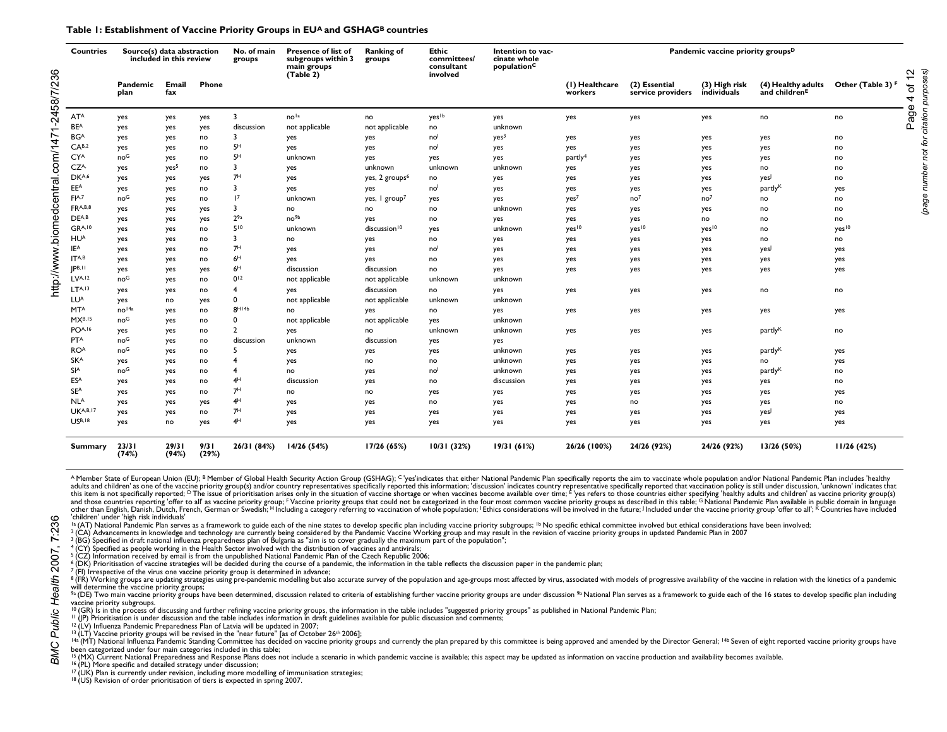| (Table 2)<br>involved<br>Pandemic<br>Email<br>Phone<br>(1) Healthcare<br>(2) Essential<br>(3) High risk<br>individuals<br>and children <sup>E</sup><br>workers<br>service providers<br>plan<br>fax<br><b>ATA</b><br>3<br>nola<br>yes <sup>1b</sup><br>yes<br>yes<br>no<br>yes<br>yes<br>yes<br>no<br>yes<br>yes<br><b>BEA</b><br>discussion<br>not applicable<br>not applicable<br>unknown<br>yes<br>yes<br>yes<br>no<br><b>BGA</b><br>3<br>yes<br>yes<br>no<br>yes<br>no<br>yes <sup>3</sup><br>yes<br>yes<br>yes<br>yes<br>yes<br>CAB <sub>2</sub><br>5 <sup>H</sup><br>nol<br>yes<br>yes<br>no<br>yes<br>yes<br>yes<br>yes<br>yes<br>yes<br>yes<br>5 <sup>H</sup><br><b>CYA</b><br>no <sup>G</sup><br>unknown<br>partly <sup>4</sup><br>yes<br>no<br>yes<br>yes<br>yes<br>yes<br>yes<br>yes<br>CZA,<br>3<br>yes<br>yes <sup>5</sup><br>no<br>yes<br>unknown<br>unknown<br>unknown<br>yes<br>yes<br>yes<br>no<br>DKA,6<br>7 <sup>H</sup><br>yes, 2 groups <sup>6</sup><br>yes<br>yes<br>yes<br>yes<br>yes<br>no<br>yes<br>yes<br>yes<br>yes<br>EE <sup>A</sup><br>3<br>partly <sup>K</sup><br>yes<br>yes<br>no<br>yes<br>yes<br>no<br>yes<br>yes<br>yes<br>yes<br>F[A,7]<br> 7<br>no <sup>G</sup><br>unknown<br>yes <sup>7</sup><br>no <sup>7</sup><br>no <sup>7</sup><br>yes<br>yes, I group?<br>yes<br>no<br>yes<br>no<br>FRA,B,8<br>3<br>unknown<br>yes<br>no<br>no<br>yes<br>yes<br>yes<br>yes<br>no<br>yes<br>no<br>DE <sup>A,B</sup><br>$2^{9a}$<br>no <sup>9b</sup><br>yes<br>yes<br>yes<br>yes<br>no<br>yes<br>yes<br>yes<br>no<br>no<br>510<br>GRA, 10<br>discussion <sup>10</sup><br>unknown<br>unknown<br>yes <sup>10</sup><br>yes <sup>10</sup><br>yes <sup>10</sup><br>yes<br>yes<br>no<br>yes<br>no<br><b>HUA</b><br>3<br>no<br>yes<br>yes<br>yes<br>no<br>no<br>yes<br>yes<br>yes<br>yes<br>no<br><b>IEA</b><br>7 <sup>H</sup><br>yes<br>no<br>yes<br>yes<br>no<br>yes<br>yes<br>yes<br>yes<br>yes<br>yes<br>ITA,B<br>6 <sup>H</sup><br>yes<br>yes<br>yes<br>yes<br>yes<br>yes<br>no<br>no<br>yes<br>yes<br>yes<br>IPB.II<br>6 <sup>H</sup><br>discussion<br>discussion<br>yes<br>yes<br>yes<br>yes<br>yes<br>no<br>yes<br>yes<br>yes<br>LV <sup>A,12</sup><br>0 <sup>12</sup><br>no <sup>G</sup><br>not applicable<br>not applicable<br>unknown<br>unknown<br>yes<br>no<br>LT <sub>A,13</sub> | (4) Healthy adults Other (Table 3) F<br>no<br>no<br>no<br>no<br>no<br>no<br>yes<br>no<br>no<br>no |
|-----------------------------------------------------------------------------------------------------------------------------------------------------------------------------------------------------------------------------------------------------------------------------------------------------------------------------------------------------------------------------------------------------------------------------------------------------------------------------------------------------------------------------------------------------------------------------------------------------------------------------------------------------------------------------------------------------------------------------------------------------------------------------------------------------------------------------------------------------------------------------------------------------------------------------------------------------------------------------------------------------------------------------------------------------------------------------------------------------------------------------------------------------------------------------------------------------------------------------------------------------------------------------------------------------------------------------------------------------------------------------------------------------------------------------------------------------------------------------------------------------------------------------------------------------------------------------------------------------------------------------------------------------------------------------------------------------------------------------------------------------------------------------------------------------------------------------------------------------------------------------------------------------------------------------------------------------------------------------------------------------------------------------------------------------------------------------------------------------------------------------------------------------------------------------------------------------------------------------------------------------------------------------------------------------------------|---------------------------------------------------------------------------------------------------|
|                                                                                                                                                                                                                                                                                                                                                                                                                                                                                                                                                                                                                                                                                                                                                                                                                                                                                                                                                                                                                                                                                                                                                                                                                                                                                                                                                                                                                                                                                                                                                                                                                                                                                                                                                                                                                                                                                                                                                                                                                                                                                                                                                                                                                                                                                                                 |                                                                                                   |
|                                                                                                                                                                                                                                                                                                                                                                                                                                                                                                                                                                                                                                                                                                                                                                                                                                                                                                                                                                                                                                                                                                                                                                                                                                                                                                                                                                                                                                                                                                                                                                                                                                                                                                                                                                                                                                                                                                                                                                                                                                                                                                                                                                                                                                                                                                                 |                                                                                                   |
|                                                                                                                                                                                                                                                                                                                                                                                                                                                                                                                                                                                                                                                                                                                                                                                                                                                                                                                                                                                                                                                                                                                                                                                                                                                                                                                                                                                                                                                                                                                                                                                                                                                                                                                                                                                                                                                                                                                                                                                                                                                                                                                                                                                                                                                                                                                 |                                                                                                   |
|                                                                                                                                                                                                                                                                                                                                                                                                                                                                                                                                                                                                                                                                                                                                                                                                                                                                                                                                                                                                                                                                                                                                                                                                                                                                                                                                                                                                                                                                                                                                                                                                                                                                                                                                                                                                                                                                                                                                                                                                                                                                                                                                                                                                                                                                                                                 |                                                                                                   |
|                                                                                                                                                                                                                                                                                                                                                                                                                                                                                                                                                                                                                                                                                                                                                                                                                                                                                                                                                                                                                                                                                                                                                                                                                                                                                                                                                                                                                                                                                                                                                                                                                                                                                                                                                                                                                                                                                                                                                                                                                                                                                                                                                                                                                                                                                                                 |                                                                                                   |
|                                                                                                                                                                                                                                                                                                                                                                                                                                                                                                                                                                                                                                                                                                                                                                                                                                                                                                                                                                                                                                                                                                                                                                                                                                                                                                                                                                                                                                                                                                                                                                                                                                                                                                                                                                                                                                                                                                                                                                                                                                                                                                                                                                                                                                                                                                                 |                                                                                                   |
|                                                                                                                                                                                                                                                                                                                                                                                                                                                                                                                                                                                                                                                                                                                                                                                                                                                                                                                                                                                                                                                                                                                                                                                                                                                                                                                                                                                                                                                                                                                                                                                                                                                                                                                                                                                                                                                                                                                                                                                                                                                                                                                                                                                                                                                                                                                 |                                                                                                   |
|                                                                                                                                                                                                                                                                                                                                                                                                                                                                                                                                                                                                                                                                                                                                                                                                                                                                                                                                                                                                                                                                                                                                                                                                                                                                                                                                                                                                                                                                                                                                                                                                                                                                                                                                                                                                                                                                                                                                                                                                                                                                                                                                                                                                                                                                                                                 |                                                                                                   |
|                                                                                                                                                                                                                                                                                                                                                                                                                                                                                                                                                                                                                                                                                                                                                                                                                                                                                                                                                                                                                                                                                                                                                                                                                                                                                                                                                                                                                                                                                                                                                                                                                                                                                                                                                                                                                                                                                                                                                                                                                                                                                                                                                                                                                                                                                                                 |                                                                                                   |
|                                                                                                                                                                                                                                                                                                                                                                                                                                                                                                                                                                                                                                                                                                                                                                                                                                                                                                                                                                                                                                                                                                                                                                                                                                                                                                                                                                                                                                                                                                                                                                                                                                                                                                                                                                                                                                                                                                                                                                                                                                                                                                                                                                                                                                                                                                                 |                                                                                                   |
|                                                                                                                                                                                                                                                                                                                                                                                                                                                                                                                                                                                                                                                                                                                                                                                                                                                                                                                                                                                                                                                                                                                                                                                                                                                                                                                                                                                                                                                                                                                                                                                                                                                                                                                                                                                                                                                                                                                                                                                                                                                                                                                                                                                                                                                                                                                 |                                                                                                   |
|                                                                                                                                                                                                                                                                                                                                                                                                                                                                                                                                                                                                                                                                                                                                                                                                                                                                                                                                                                                                                                                                                                                                                                                                                                                                                                                                                                                                                                                                                                                                                                                                                                                                                                                                                                                                                                                                                                                                                                                                                                                                                                                                                                                                                                                                                                                 | yes <sup>10</sup>                                                                                 |
|                                                                                                                                                                                                                                                                                                                                                                                                                                                                                                                                                                                                                                                                                                                                                                                                                                                                                                                                                                                                                                                                                                                                                                                                                                                                                                                                                                                                                                                                                                                                                                                                                                                                                                                                                                                                                                                                                                                                                                                                                                                                                                                                                                                                                                                                                                                 | no                                                                                                |
|                                                                                                                                                                                                                                                                                                                                                                                                                                                                                                                                                                                                                                                                                                                                                                                                                                                                                                                                                                                                                                                                                                                                                                                                                                                                                                                                                                                                                                                                                                                                                                                                                                                                                                                                                                                                                                                                                                                                                                                                                                                                                                                                                                                                                                                                                                                 | yes                                                                                               |
|                                                                                                                                                                                                                                                                                                                                                                                                                                                                                                                                                                                                                                                                                                                                                                                                                                                                                                                                                                                                                                                                                                                                                                                                                                                                                                                                                                                                                                                                                                                                                                                                                                                                                                                                                                                                                                                                                                                                                                                                                                                                                                                                                                                                                                                                                                                 | yes                                                                                               |
|                                                                                                                                                                                                                                                                                                                                                                                                                                                                                                                                                                                                                                                                                                                                                                                                                                                                                                                                                                                                                                                                                                                                                                                                                                                                                                                                                                                                                                                                                                                                                                                                                                                                                                                                                                                                                                                                                                                                                                                                                                                                                                                                                                                                                                                                                                                 | yes                                                                                               |
|                                                                                                                                                                                                                                                                                                                                                                                                                                                                                                                                                                                                                                                                                                                                                                                                                                                                                                                                                                                                                                                                                                                                                                                                                                                                                                                                                                                                                                                                                                                                                                                                                                                                                                                                                                                                                                                                                                                                                                                                                                                                                                                                                                                                                                                                                                                 |                                                                                                   |
| $\overline{4}$<br>yes<br>yes<br>discussion<br>yes<br>no<br>no<br>yes<br>yes<br>yes<br>no<br>yes                                                                                                                                                                                                                                                                                                                                                                                                                                                                                                                                                                                                                                                                                                                                                                                                                                                                                                                                                                                                                                                                                                                                                                                                                                                                                                                                                                                                                                                                                                                                                                                                                                                                                                                                                                                                                                                                                                                                                                                                                                                                                                                                                                                                                 | no                                                                                                |
| <b>LUA</b><br>0<br>not applicable<br>not applicable<br>yes<br>no<br>yes<br>unknown<br>unknown                                                                                                                                                                                                                                                                                                                                                                                                                                                                                                                                                                                                                                                                                                                                                                                                                                                                                                                                                                                                                                                                                                                                                                                                                                                                                                                                                                                                                                                                                                                                                                                                                                                                                                                                                                                                                                                                                                                                                                                                                                                                                                                                                                                                                   |                                                                                                   |
| 8 <sup>H14b</sup><br>MT <sup>A</sup><br>$\rm{no}^{\rm{14a}}$<br>yes<br>no<br>no<br>yes<br>no<br>yes<br>yes<br>yes<br>yes<br>yes                                                                                                                                                                                                                                                                                                                                                                                                                                                                                                                                                                                                                                                                                                                                                                                                                                                                                                                                                                                                                                                                                                                                                                                                                                                                                                                                                                                                                                                                                                                                                                                                                                                                                                                                                                                                                                                                                                                                                                                                                                                                                                                                                                                 | yes                                                                                               |
| MXB,15<br>$\mathbf 0$<br>no <sup>G</sup><br>not applicable<br>not applicable<br>yes<br>no<br>yes<br>unknown                                                                                                                                                                                                                                                                                                                                                                                                                                                                                                                                                                                                                                                                                                                                                                                                                                                                                                                                                                                                                                                                                                                                                                                                                                                                                                                                                                                                                                                                                                                                                                                                                                                                                                                                                                                                                                                                                                                                                                                                                                                                                                                                                                                                     |                                                                                                   |
| <b>POA,16</b><br>$\overline{2}$<br>unknown<br>partly <sup>K</sup><br>yes<br>yes<br>no<br>yes<br>no<br>unknown<br>yes<br>yes<br>yes                                                                                                                                                                                                                                                                                                                                                                                                                                                                                                                                                                                                                                                                                                                                                                                                                                                                                                                                                                                                                                                                                                                                                                                                                                                                                                                                                                                                                                                                                                                                                                                                                                                                                                                                                                                                                                                                                                                                                                                                                                                                                                                                                                              | no                                                                                                |
| PT <sup>A</sup><br>no <sup>G</sup><br>discussion<br>discussion<br>yes<br>no<br>unknown<br>yes<br>yes                                                                                                                                                                                                                                                                                                                                                                                                                                                                                                                                                                                                                                                                                                                                                                                                                                                                                                                                                                                                                                                                                                                                                                                                                                                                                                                                                                                                                                                                                                                                                                                                                                                                                                                                                                                                                                                                                                                                                                                                                                                                                                                                                                                                            |                                                                                                   |
| <b>ROA</b><br>no <sup>G</sup><br>-5<br>partly <sup>K</sup><br>unknown<br>yes<br>no<br>yes<br>yes<br>yes<br>yes<br>yes<br>yes                                                                                                                                                                                                                                                                                                                                                                                                                                                                                                                                                                                                                                                                                                                                                                                                                                                                                                                                                                                                                                                                                                                                                                                                                                                                                                                                                                                                                                                                                                                                                                                                                                                                                                                                                                                                                                                                                                                                                                                                                                                                                                                                                                                    | yes                                                                                               |
| SKA<br>$\overline{\bf 4}$<br>unknown<br>yes<br>yes<br>no<br>yes<br>no<br>yes<br>yes<br>no<br>yes<br>no                                                                                                                                                                                                                                                                                                                                                                                                                                                                                                                                                                                                                                                                                                                                                                                                                                                                                                                                                                                                                                                                                                                                                                                                                                                                                                                                                                                                                                                                                                                                                                                                                                                                                                                                                                                                                                                                                                                                                                                                                                                                                                                                                                                                          | yes                                                                                               |
| <b>SIA</b><br>no <sup>G</sup><br>$\overline{4}$<br>no<br>unknown<br>partly <sup>K</sup><br>yes<br>no<br>no<br>yes<br>yes<br>yes<br>yes                                                                                                                                                                                                                                                                                                                                                                                                                                                                                                                                                                                                                                                                                                                                                                                                                                                                                                                                                                                                                                                                                                                                                                                                                                                                                                                                                                                                                                                                                                                                                                                                                                                                                                                                                                                                                                                                                                                                                                                                                                                                                                                                                                          | no                                                                                                |
| <b>ESA</b><br>4 <sup>H</sup><br>discussion<br>discussion<br>yes<br>yes<br>no<br>yes<br>no<br>yes<br>yes<br>yes<br>yes                                                                                                                                                                                                                                                                                                                                                                                                                                                                                                                                                                                                                                                                                                                                                                                                                                                                                                                                                                                                                                                                                                                                                                                                                                                                                                                                                                                                                                                                                                                                                                                                                                                                                                                                                                                                                                                                                                                                                                                                                                                                                                                                                                                           | no                                                                                                |
| SEA<br>7 <sup>H</sup><br>yes<br>yes<br>no<br>no<br>no<br>yes<br>yes<br>yes<br>yes<br>yes<br>yes                                                                                                                                                                                                                                                                                                                                                                                                                                                                                                                                                                                                                                                                                                                                                                                                                                                                                                                                                                                                                                                                                                                                                                                                                                                                                                                                                                                                                                                                                                                                                                                                                                                                                                                                                                                                                                                                                                                                                                                                                                                                                                                                                                                                                 | yes                                                                                               |
| 4 <sup>H</sup><br>NL <sup>A</sup><br>yes<br>yes<br>yes<br>yes<br>no<br>yes<br>yes<br>no<br>yes<br>yes<br>yes                                                                                                                                                                                                                                                                                                                                                                                                                                                                                                                                                                                                                                                                                                                                                                                                                                                                                                                                                                                                                                                                                                                                                                                                                                                                                                                                                                                                                                                                                                                                                                                                                                                                                                                                                                                                                                                                                                                                                                                                                                                                                                                                                                                                    | no                                                                                                |
| <b>UKA,B,17</b><br>7 <sup>H</sup><br>yes<br>yes<br>no<br>yes<br>yes<br>yes<br>yes<br>yes<br>yes<br>yes<br>yes                                                                                                                                                                                                                                                                                                                                                                                                                                                                                                                                                                                                                                                                                                                                                                                                                                                                                                                                                                                                                                                                                                                                                                                                                                                                                                                                                                                                                                                                                                                                                                                                                                                                                                                                                                                                                                                                                                                                                                                                                                                                                                                                                                                                   | yes                                                                                               |
| US <sup>B,18</sup><br>4H<br>yes<br>yes<br>no<br>yes<br>yes<br>yes<br>yes<br>yes<br>yes<br>yes<br>yes                                                                                                                                                                                                                                                                                                                                                                                                                                                                                                                                                                                                                                                                                                                                                                                                                                                                                                                                                                                                                                                                                                                                                                                                                                                                                                                                                                                                                                                                                                                                                                                                                                                                                                                                                                                                                                                                                                                                                                                                                                                                                                                                                                                                            | yes                                                                                               |
| 23/31<br>29/31<br>9/31<br>26/31 (84%)<br>14/26 (54%)<br>10/31 (32%)<br>19/31(61%)<br>26/26 (100%)<br>24/26 (92%)<br>24/26 (92%)<br>13/26 (50%)<br><b>Summary</b><br>17/26(65%)<br>(74%)<br>(94%)<br>(29%)                                                                                                                                                                                                                                                                                                                                                                                                                                                                                                                                                                                                                                                                                                                                                                                                                                                                                                                                                                                                                                                                                                                                                                                                                                                                                                                                                                                                                                                                                                                                                                                                                                                                                                                                                                                                                                                                                                                                                                                                                                                                                                       | 11/26(42%)                                                                                        |

**Table 1: Establishment of Vaccine Priority Groups in EUA and GSHAGB countries**

<sup>15</sup> (MX) Current National Preparedness and Response Plans does not include a scenario in which pandemic vaccine is available; this aspect may be updated as information on vaccine production and availability becomes availa

నై Ë 2007,

Health

Public

BMC.

<sup>!! (</sup>IP) Prioritisation is under discussion and the table includes information in draft guidelines available for public discussion and comments;<br>! 2(LY) Influenza Pandemic Preparedness Plan of Latvia will be updated in 200 been categorized under four main categories included in this table;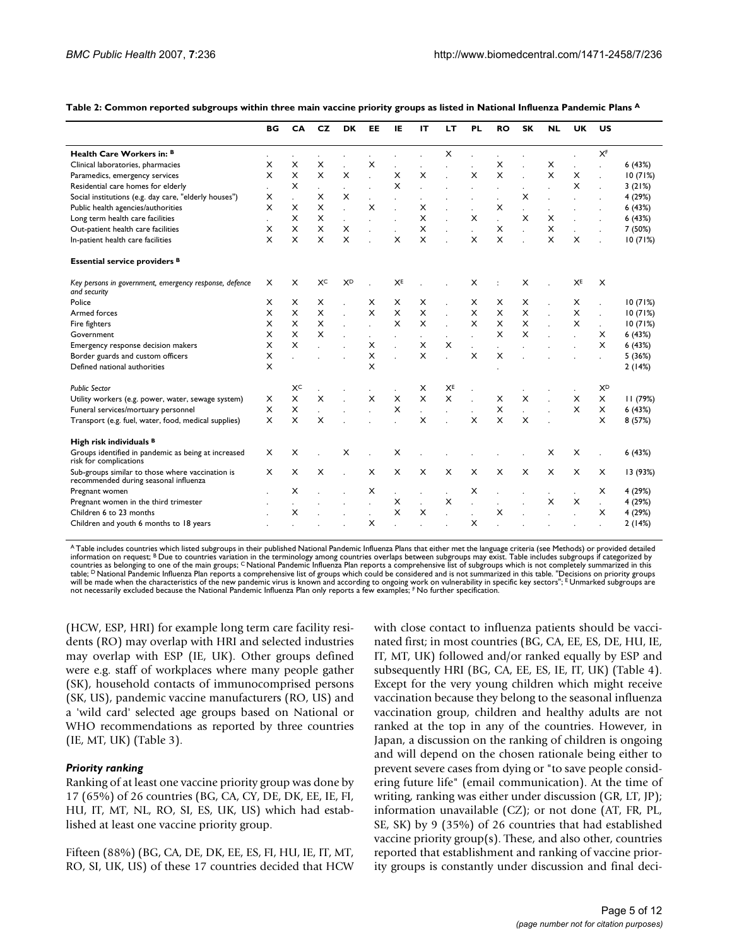| Table 2: Common reported subgroups within three main vaccine priority groups as listed in National Influenza Pandemic Plans A |  |  |
|-------------------------------------------------------------------------------------------------------------------------------|--|--|
|-------------------------------------------------------------------------------------------------------------------------------|--|--|

|                                                                                           | BG       | CA       | <b>CZ</b> | <b>DK</b> | EE                   | IE             | IT       | LT           | <b>PL</b>    | <b>RO</b>            | <b>SK</b>            | <b>NL</b> | <b>UK</b> | <b>US</b> |          |
|-------------------------------------------------------------------------------------------|----------|----------|-----------|-----------|----------------------|----------------|----------|--------------|--------------|----------------------|----------------------|-----------|-----------|-----------|----------|
| Health Care Workers in: B                                                                 |          |          |           |           |                      |                |          | X            |              |                      |                      |           |           | XF        |          |
| Clinical laboratories, pharmacies                                                         | X        | $\times$ | X         |           | X                    |                |          |              |              | X                    |                      | $\times$  |           |           | 6(43%)   |
| Paramedics, emergency services                                                            | X        | X        | X         | X         | $\ddot{\phantom{a}}$ | X              | X        |              | x            | X                    |                      | $\times$  | X         |           | 10(71%)  |
| Residential care homes for elderly                                                        |          | $\times$ |           |           | ä,                   | X              |          |              |              |                      | $\ddot{\phantom{0}}$ |           | X         |           | 3(21%)   |
| Social institutions (e.g. day care, "elderly houses")                                     | X        |          | X         | X         | $\mathbf{r}$         |                | ÷.       |              | ÷.           | ÷                    | X                    |           |           |           | 4 (29%)  |
| Public health agencies/authorities                                                        | X        | X        | X         |           | X                    | $\mathbf{r}$   | X        |              | ÷.           | X                    |                      |           |           |           | 6(43%)   |
| Long term health care facilities                                                          |          | X        | X         |           |                      |                | X        |              | X            | $\ddot{\phantom{a}}$ | X                    | X         |           |           | 6(43%)   |
| Out-patient health care facilities                                                        | X        | $\times$ | X         | X         |                      |                | X        |              | $\mathbf{r}$ | X                    |                      | X         |           |           | 7 (50%)  |
| In-patient health care facilities                                                         | X        | $\times$ | X         | $\times$  |                      | X              | X        |              | X            | X                    |                      | $\times$  | X         |           | 10(71%)  |
| Essential service providers <sup>B</sup>                                                  |          |          |           |           |                      |                |          |              |              |                      |                      |           |           |           |          |
| Key persons in government, emergency response, defence<br>and security                    | X        | X        | $X^C$     | $X^D$     |                      | $X^E$          |          |              | х            |                      | X                    |           | $X^E$     | X         |          |
| Police                                                                                    | X        | X        | X         |           | X                    | X              | X        |              | x            | X                    | X                    |           | X         |           | 10(71%)  |
| Armed forces                                                                              | X        | X        | X         |           | $\times$             | X              | X        |              | X            | $\times$             | X                    |           | $\times$  |           | 10(71%)  |
| Fire fighters                                                                             | X        | $\times$ | $\times$  |           |                      | $\times$       | $\times$ |              | X            | $\times$             | X                    |           | X         |           | 10(71%)  |
| Government                                                                                | X        | $\times$ | $\times$  |           |                      | $\mathbf{r}$   | ÷.       |              | $\mathbf{r}$ | $\times$             | X                    |           |           | X         | 6(43%)   |
| Emergency response decision makers                                                        | X        | X        |           |           | X                    |                | X        | X            | $\mathbf{r}$ |                      |                      |           |           | X         | 6 (43%)  |
| Border guards and custom officers                                                         | X        |          |           |           | X                    |                | $\times$ |              | X            | X                    |                      |           |           |           | 5 (36%)  |
| Defined national authorities                                                              | X        |          |           |           | X                    |                |          |              |              |                      |                      |           |           |           | 2(14%)   |
| <b>Public Sector</b>                                                                      |          | XC       |           |           |                      |                | Х        | XE           |              |                      |                      |           |           | <b>XD</b> |          |
| Utility workers (e.g. power, water, sewage system)                                        | X        | $\times$ | $\times$  |           | X                    | $\times$       | $\times$ | $\times$     |              | $\times$             | X                    |           | X         | X         | 11(79%)  |
| Funeral services/mortuary personnel                                                       | $\times$ | X        |           |           |                      | X              | ÷.       |              | $\epsilon$   | X                    |                      |           | $\times$  | $\times$  | 6(43%)   |
| Transport (e.g. fuel, water, food, medical supplies)                                      | X        | X        | X         |           |                      |                | X        |              | X            | X                    | X                    |           |           | X         | 8(57%)   |
| High risk individuals <sup>B</sup>                                                        |          |          |           |           |                      |                |          |              |              |                      |                      |           |           |           |          |
| Groups identified in pandemic as being at increased<br>risk for complications             | X        | X        |           | X         |                      | Х              |          |              |              |                      |                      | x         | х         |           | 6(43%)   |
| Sub-groups similar to those where vaccination is<br>recommended during seasonal influenza | $\times$ | $\times$ | X         |           | X                    | X              | X        | X            | x            | X                    | X                    | $\times$  | $\times$  | $\times$  | 13 (93%) |
| Pregnant women                                                                            |          | X        |           |           | $\times$             | $\blacksquare$ | k,       | $\mathbf{r}$ | X            | ÷.                   |                      |           |           | X         | 4 (29%)  |
| Pregnant women in the third trimester                                                     |          |          |           |           | $\mathbf{r}$         | X              | ÷.       | $\times$     | ÷.           |                      |                      | X         | $\times$  |           | 4 (29%)  |
| Children 6 to 23 months                                                                   |          | X        |           |           |                      | X              | X        |              |              | X                    |                      |           |           | $\times$  | 4 (29%)  |
| Children and youth 6 months to 18 years                                                   |          |          |           |           | X                    |                |          |              | X            |                      |                      |           |           |           | 2(14%)   |

A Table includes countries which listed subgroups in their published National Pandemic Influenza Plans that either met the language criteria (see Methods) or provided detailed information on request; <sup>в</sup> Due to countries variation in the terminology among countries overlaps between subgroups may exist. Table includes subgroups if categorized by<br>countries as belonging to one of the main groups; <sup></sup> table; <sup>D</sup> National Pandemic Influenza Plan reports a comprehensive list of groups which could be considered and is not summarized in this table. "Decisions on priority groups will be made when the characteristics of the new pandemic virus is known and according to ongoing work on vulnerability in specific key sectors"; <sup>E</sup> Unmarked subgroups are<br>not necessarily excluded because the National Pan

(HCW, ESP, HRI) for example long term care facility residents (RO) may overlap with HRI and selected industries may overlap with ESP (IE, UK). Other groups defined were e.g. staff of workplaces where many people gather (SK), household contacts of immunocomprised persons (SK, US), pandemic vaccine manufacturers (RO, US) and a 'wild card' selected age groups based on National or WHO recommendations as reported by three countries (IE, MT, UK) (Table 3).

#### *Priority ranking*

Ranking of at least one vaccine priority group was done by 17 (65%) of 26 countries (BG, CA, CY, DE, DK, EE, IE, FI, HU, IT, MT, NL, RO, SI, ES, UK, US) which had established at least one vaccine priority group.

Fifteen (88%) (BG, CA, DE, DK, EE, ES, FI, HU, IE, IT, MT, RO, SI, UK, US) of these 17 countries decided that HCW with close contact to influenza patients should be vaccinated first; in most countries (BG, CA, EE, ES, DE, HU, IE, IT, MT, UK) followed and/or ranked equally by ESP and subsequently HRI (BG, CA, EE, ES, IE, IT, UK) (Table 4). Except for the very young children which might receive vaccination because they belong to the seasonal influenza vaccination group, children and healthy adults are not ranked at the top in any of the countries. However, in Japan, a discussion on the ranking of children is ongoing and will depend on the chosen rationale being either to prevent severe cases from dying or "to save people considering future life" (email communication). At the time of writing, ranking was either under discussion (GR, LT, JP); information unavailable (CZ); or not done (AT, FR, PL, SE, SK) by 9 (35%) of 26 countries that had established vaccine priority group(s). These, and also other, countries reported that establishment and ranking of vaccine priority groups is constantly under discussion and final deci-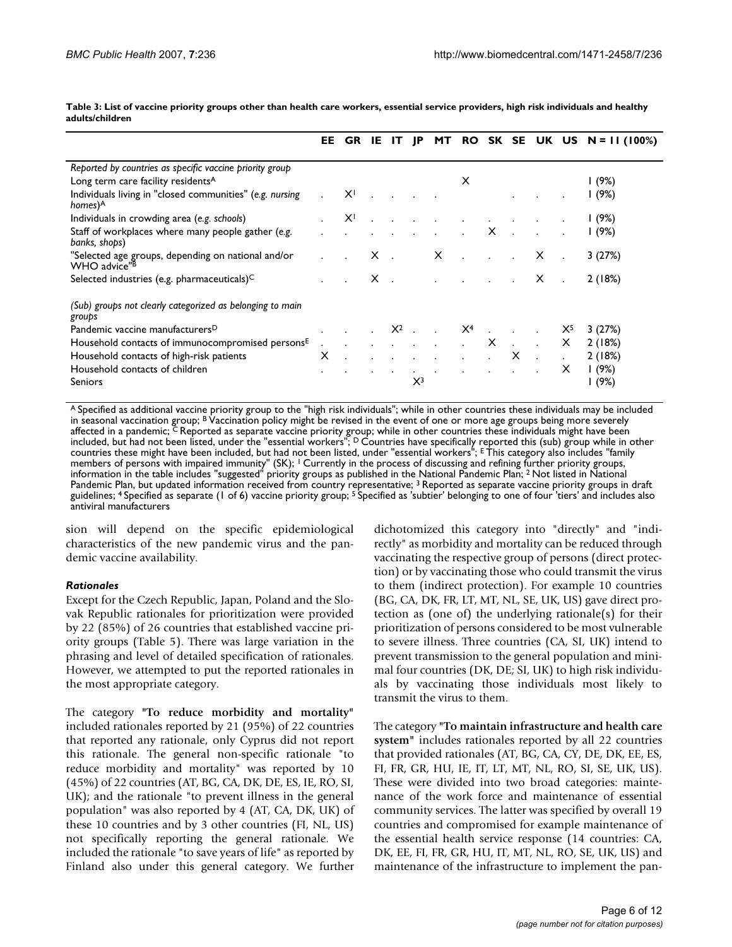|                                                                                | EE. |                |       |           |                                                |                  |                      |                  |   |    |    | GR IE IT JP MT RO SK SE UK US $N = 11$ (100%) |
|--------------------------------------------------------------------------------|-----|----------------|-------|-----------|------------------------------------------------|------------------|----------------------|------------------|---|----|----|-----------------------------------------------|
| Reported by countries as specific vaccine priority group                       |     |                |       |           |                                                |                  |                      |                  |   |    |    |                                               |
| Long term care facility residents <sup>A</sup>                                 |     |                |       |           |                                                |                  | X                    |                  |   |    |    | (9%)                                          |
| Individuals living in "closed communities" (e.g. nursing<br>homes)A            |     | X'             |       | $\sim 10$ | $\sim$ $\sim$                                  |                  |                      |                  |   |    |    | l (9%)                                        |
| Individuals in crowding area (e.g. schools)                                    |     | $X^{\dagger}$  |       |           |                                                |                  |                      |                  |   |    |    | 1(9%)                                         |
| Staff of workplaces where many people gather (e.g.<br>banks, shops)            |     |                |       |           |                                                | $\sim$ 100 $\pm$ | $\bullet$            | X                |   |    |    | (9%)                                          |
| "Selected age groups, depending on national and/or<br>WHO advice" <sup>B</sup> |     |                | $X$ . |           |                                                | X                | $\sim$               | $\sim$ $\sim$    |   | X  |    | 3(27%)                                        |
| Selected industries (e.g. pharmaceuticals) $\circ$                             |     | $\mathsf{X}$ . |       |           |                                                |                  |                      |                  |   | X. |    | 2(18%)                                        |
| (Sub) groups not clearly categorized as belonging to main<br>groups            |     |                |       |           |                                                |                  |                      |                  |   |    |    |                                               |
| Pandemic vaccine manufacturers <sup>D</sup>                                    |     |                |       | $X^2$ .   |                                                |                  | X <sup>4</sup>       |                  |   |    | X, | 3(27%)                                        |
| Household contacts of immunocompromised persons <sup>E</sup>                   |     |                |       |           |                                                |                  |                      | X.               |   |    | X  | 2(18%)                                        |
| Household contacts of high-risk patients                                       | x   |                |       |           |                                                |                  | $\ddot{\phantom{0}}$ | $\sim$ 100 $\pm$ | X |    |    | 2(18%)                                        |
| Household contacts of children                                                 |     |                |       |           | $\mathbf{A}$ and $\mathbf{A}$ and $\mathbf{A}$ |                  |                      |                  |   |    | X  | (9%)                                          |
| <b>Seniors</b>                                                                 |     |                |       |           | $X^3$                                          |                  |                      |                  |   |    |    | (9%)                                          |

**Table 3: List of vaccine priority groups other than health care workers, essential service providers, high risk individuals and healthy adults/children**

A Specified as additional vaccine priority group to the "high risk individuals"; while in other countries these individuals may be included in seasonal vaccination group; B Vaccination policy might be revised in the event of one or more age groups being more severely affected in a pandemic; <sup>C</sup> Reported as separate vaccine priority group; while in other countries these individuals might have been included, but had not been listed, under the "essential workers"; <sup>D</sup> Countries have specifically reported this (sub) group while in other countries these might have been included, but had not been listed, under "essential workers"; E This category also includes "family members of persons with impaired immunity" (SK); <sup>1</sup> Currently in the process of discussing and refining further priority groups, information in the table includes "suggested" priority groups as published in the National Pandemic Plan; 2 Not listed in National Pandemic Plan, but updated information received from country representative; <sup>3</sup> Reported as separate vaccine priority groups in draft guidelines; 4 Specified as separate (1 of 6) vaccine priority group; 5 Specified as 'subtier' belonging to one of four 'tiers' and includes also antiviral manufacturers

sion will depend on the specific epidemiological characteristics of the new pandemic virus and the pandemic vaccine availability.

## *Rationales*

Except for the Czech Republic, Japan, Poland and the Slovak Republic rationales for prioritization were provided by 22 (85%) of 26 countries that established vaccine priority groups (Table 5). There was large variation in the phrasing and level of detailed specification of rationales. However, we attempted to put the reported rationales in the most appropriate category.

The category **"To reduce morbidity and mortality"** included rationales reported by 21 (95%) of 22 countries that reported any rationale, only Cyprus did not report this rationale. The general non-specific rationale "to reduce morbidity and mortality" was reported by 10 (45%) of 22 countries (AT, BG, CA, DK, DE, ES, IE, RO, SI, UK); and the rationale "to prevent illness in the general population" was also reported by 4 (AT, CA, DK, UK) of these 10 countries and by 3 other countries (FI, NL, US) not specifically reporting the general rationale. We included the rationale "to save years of life" as reported by Finland also under this general category. We further

dichotomized this category into "directly" and "indirectly" as morbidity and mortality can be reduced through vaccinating the respective group of persons (direct protection) or by vaccinating those who could transmit the virus to them (indirect protection). For example 10 countries (BG, CA, DK, FR, LT, MT, NL, SE, UK, US) gave direct protection as (one of) the underlying rationale(s) for their prioritization of persons considered to be most vulnerable to severe illness. Three countries (CA, SI, UK) intend to prevent transmission to the general population and minimal four countries (DK, DE; SI, UK) to high risk individuals by vaccinating those individuals most likely to transmit the virus to them.

The category **"To maintain infrastructure and health care system"** includes rationales reported by all 22 countries that provided rationales (AT, BG, CA, CY, DE, DK, EE, ES, FI, FR, GR, HU, IE, IT, LT, MT, NL, RO, SI, SE, UK, US). These were divided into two broad categories: maintenance of the work force and maintenance of essential community services. The latter was specified by overall 19 countries and compromised for example maintenance of the essential health service response (14 countries: CA, DK, EE, FI, FR, GR, HU, IT, MT, NL, RO, SE, UK, US) and maintenance of the infrastructure to implement the pan-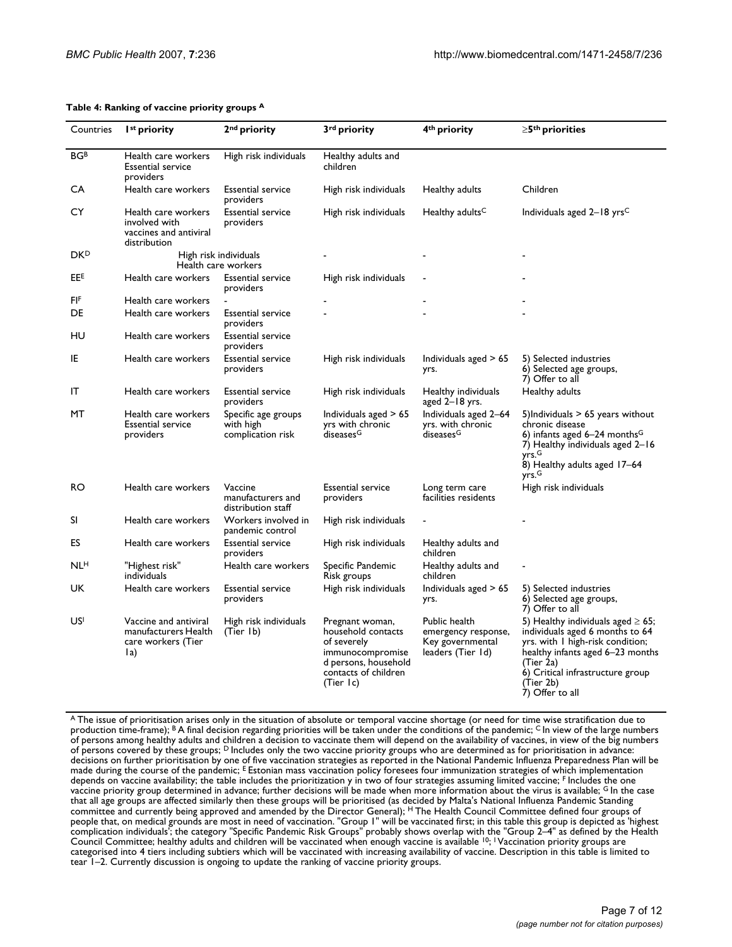#### **Table 4: Ranking of vaccine priority groups A**

| Countries | I <sup>st</sup> priority                                                           | 2 <sup>nd</sup> priority                              | 3 <sup>rd</sup> priority                                                                                                              | 4 <sup>th</sup> priority                                                      | $\geq$ 5 <sup>th</sup> priorities                                                                                                                                                                                                  |
|-----------|------------------------------------------------------------------------------------|-------------------------------------------------------|---------------------------------------------------------------------------------------------------------------------------------------|-------------------------------------------------------------------------------|------------------------------------------------------------------------------------------------------------------------------------------------------------------------------------------------------------------------------------|
| BGB       | Health care workers<br><b>Essential service</b><br>providers                       | High risk individuals                                 | Healthy adults and<br>children                                                                                                        |                                                                               |                                                                                                                                                                                                                                    |
| CA        | Health care workers                                                                | <b>Essential service</b><br>providers                 | High risk individuals                                                                                                                 | Healthy adults                                                                | Children                                                                                                                                                                                                                           |
| CY        | Health care workers<br>involved with<br>vaccines and antiviral<br>distribution     | <b>Essential service</b><br>providers                 | High risk individuals                                                                                                                 | Healthy adults <sup>C</sup>                                                   | Individuals aged $2-18$ yrs <sup>C</sup>                                                                                                                                                                                           |
| DK¤       |                                                                                    | High risk individuals<br>Health care workers          |                                                                                                                                       |                                                                               |                                                                                                                                                                                                                                    |
| EEE       | Health care workers                                                                | <b>Essential service</b><br>providers                 | High risk individuals                                                                                                                 |                                                                               |                                                                                                                                                                                                                                    |
| FIF       | Health care workers                                                                |                                                       |                                                                                                                                       |                                                                               |                                                                                                                                                                                                                                    |
| DE        | Health care workers                                                                | <b>Essential service</b><br>providers                 |                                                                                                                                       |                                                                               |                                                                                                                                                                                                                                    |
| HU        | Health care workers                                                                | <b>Essential service</b><br>providers                 |                                                                                                                                       |                                                                               |                                                                                                                                                                                                                                    |
| ΙE        | Health care workers                                                                | <b>Essential service</b><br>providers                 | High risk individuals                                                                                                                 | Individuals aged $> 65$<br>yrs.                                               | 5) Selected industries<br>6) Selected age groups,<br>7) Offer to all                                                                                                                                                               |
| ΙT        | Health care workers                                                                | <b>Essential service</b><br>providers                 | High risk individuals                                                                                                                 | Healthy individuals<br>aged 2–18 yrs.                                         | Healthy adults                                                                                                                                                                                                                     |
| MT        | Health care workers<br><b>Essential service</b><br>providers                       | Specific age groups<br>with high<br>complication risk | Individuals aged $> 65$<br>yrs with chronic<br>diseasesG                                                                              | Individuals aged 2–64<br>yrs. with chronic<br>diseasesG                       | 5)Individuals $> 65$ years without<br>chronic disease<br>6) infants aged 6-24 monthsG<br>7) Healthy individuals aged 2–16<br>yrs. <sup>G</sup><br>8) Healthy adults aged 17–64<br>yrs. <sup>G</sup>                                |
| RO.       | Health care workers                                                                | Vaccine<br>manufacturers and<br>distribution staff    | <b>Essential service</b><br>providers                                                                                                 | Long term care<br>facilities residents                                        | High risk individuals                                                                                                                                                                                                              |
| SI        | Health care workers                                                                | Workers involved in<br>pandemic control               | High risk individuals                                                                                                                 |                                                                               |                                                                                                                                                                                                                                    |
| ES        | Health care workers                                                                | <b>Essential service</b><br>providers                 | High risk individuals                                                                                                                 | Healthy adults and<br>children                                                |                                                                                                                                                                                                                                    |
| NLH       | "Highest risk"<br>individuals                                                      | Health care workers                                   | Specific Pandemic<br>Risk groups                                                                                                      | Healthy adults and<br>children                                                |                                                                                                                                                                                                                                    |
| UK        | Health care workers                                                                | <b>Essential service</b><br>providers                 | High risk individuals                                                                                                                 | Individuals aged $> 65$<br>yrs.                                               | 5) Selected industries<br>6) Selected age groups,<br>7) Offer to all                                                                                                                                                               |
| USI       | Vaccine and antiviral<br>manufacturers Health<br>care workers (Tier<br>$ a\rangle$ | High risk individuals<br>(Tier Ib)                    | Pregnant woman,<br>household contacts<br>of severely<br>immunocompromise<br>d persons, household<br>contacts of children<br>(Tier Ic) | Public health<br>emergency response,<br>Key governmental<br>leaders (Tier 1d) | 5) Healthy individuals aged $\geq$ 65;<br>individuals aged 6 months to 64<br>yrs. with I high-risk condition;<br>healthy infants aged 6-23 months<br>(Tier 2a)<br>6) Critical infrastructure group<br>(Tier 2b)<br>7) Offer to all |

A The issue of prioritisation arises only in the situation of absolute or temporal vaccine shortage (or need for time wise stratification due to production time-frame); <sup>B</sup> A final decision regarding priorities will be taken under the conditions of the pandemic; <sup>C</sup> In view of the large numbers of persons among healthy adults and children a decision to vaccinate them will depend on the availability of vaccines, in view of the big numbers of persons covered by these groups; <sup>D</sup> Includes only the two vaccine priority groups who are determined as for prioritisation in advance: decisions on further prioritisation by one of five vaccination strategies as reported in the National Pandemic Influenza Preparedness Plan will be made during the course of the pandemic; E Estonian mass vaccination policy foresees four immunization strategies of which implementation depends on vaccine availability; the table includes the prioritization y in two of four strategies assuming limited vaccine; F Includes the one vaccine priority group determined in advance; further decisions will be made when more information about the virus is available; <sup>G</sup> In the case that all age groups are affected similarly then these groups will be prioritised (as decided by Malta's National Influenza Pandemic Standing committee and currently being approved and amended by the Director General); <sup>H</sup> The Health Council Committee defined four groups of people that, on medical grounds are most in need of vaccination. "Group 1" will be vaccinated first; in this table this group is depicted as 'highest complication individuals'; the category "Specific Pandemic Risk Groups" probably shows overlap with the "Group 2–4" as defined by the Health Council Committee; healthy adults and children will be vaccinated when enough vaccine is available <sup>10</sup>; Vaccination priority groups are categorised into 4 tiers including subtiers which will be vaccinated with increasing availability of vaccine. Description in this table is limited to tear 1–2. Currently discussion is ongoing to update the ranking of vaccine priority groups.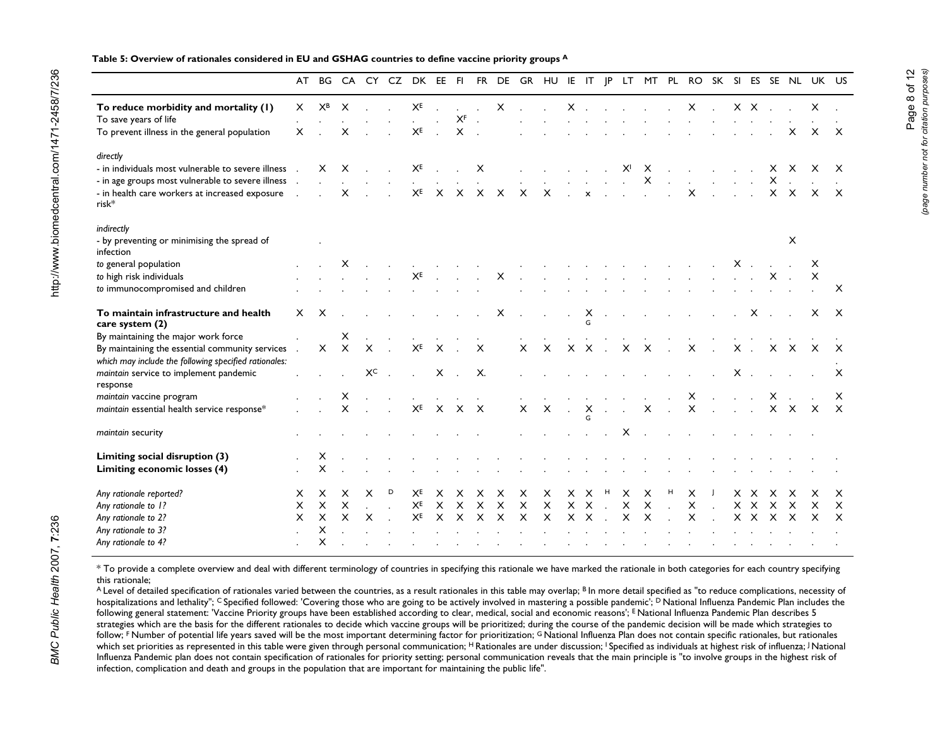http://www.biomedcentral.com/1471-2458/7/236 *BMC Public Health* 2007, 7:236 http://www.biomedcentral.com/1471-2458/7/236

|                                                                                                                                                                                     |         |  |  |  |  | AT BG CA CY CZ DK EE FI FR DE GR HU IE IT JP LT MT PL RO SK SI ES SE NL UK US                                                                     |  |  |  |  |  |   |  |
|-------------------------------------------------------------------------------------------------------------------------------------------------------------------------------------|---------|--|--|--|--|---------------------------------------------------------------------------------------------------------------------------------------------------|--|--|--|--|--|---|--|
| To reduce morbidity and mortality (1)                                                                                                                                               |         |  |  |  |  |                                                                                                                                                   |  |  |  |  |  |   |  |
| To save years of life                                                                                                                                                               |         |  |  |  |  | . The contribution of $X^F$ is the contribution of the contribution of the contribution of $X^F$ is the contribution of the contribution of $X^F$ |  |  |  |  |  |   |  |
| To prevent illness in the general population                                                                                                                                        |         |  |  |  |  | X . X X <sup>E</sup> . X X X X                                                                                                                    |  |  |  |  |  |   |  |
| directly                                                                                                                                                                            |         |  |  |  |  |                                                                                                                                                   |  |  |  |  |  |   |  |
| - in individuals most vulnerable to severe illness . $\begin{array}{ccccccccc} & X & X & . & . & X^E & . & . & X & . & . & . & . & X^V & X & . & . & . & X & X & X & X \end{array}$ |         |  |  |  |  |                                                                                                                                                   |  |  |  |  |  |   |  |
|                                                                                                                                                                                     |         |  |  |  |  |                                                                                                                                                   |  |  |  |  |  |   |  |
| - in health care workers at increased exposure       X      X <sup>E</sup> X  X  X  X  X  X   .       .   X  X  X  X  X  X<br>risk*                                                 |         |  |  |  |  |                                                                                                                                                   |  |  |  |  |  |   |  |
| indirectly                                                                                                                                                                          |         |  |  |  |  |                                                                                                                                                   |  |  |  |  |  |   |  |
| - by preventing or minimising the spread of<br>infection                                                                                                                            | $\cdot$ |  |  |  |  |                                                                                                                                                   |  |  |  |  |  | X |  |
| to general population                                                                                                                                                               |         |  |  |  |  |                                                                                                                                                   |  |  |  |  |  |   |  |
| to high risk individuals                                                                                                                                                            |         |  |  |  |  | . $X^E$ $X$ $X$ . $X$                                                                                                                             |  |  |  |  |  |   |  |
| to immunocompromised and children                                                                                                                                                   |         |  |  |  |  | . The contribution of the contribution of the contribution of the contribution $\mathsf X$                                                        |  |  |  |  |  |   |  |
| To maintain infrastructure and health                                                                                                                                               |         |  |  |  |  | $X$ $X$ $\ldots$ $X$ $\ldots$ $X$ $\ldots$ $X$ $\ldots$ $X$ $\ldots$ $X$ $\ldots$ $X$ $\ldots$ $X$ $X$                                            |  |  |  |  |  |   |  |
| care system (2)                                                                                                                                                                     |         |  |  |  |  |                                                                                                                                                   |  |  |  |  |  |   |  |
| By maintaining the major work force                                                                                                                                                 |         |  |  |  |  |                                                                                                                                                   |  |  |  |  |  |   |  |
| which may include the following specified rationales:                                                                                                                               |         |  |  |  |  |                                                                                                                                                   |  |  |  |  |  |   |  |
| maintain service to implement pandemic                                                                                                                                              |         |  |  |  |  | . X <sup>c</sup> X . X X X                                                                                                                        |  |  |  |  |  |   |  |

**Table 5: Overview of rationales considered in EU and GSHAG countries to define vaccine priority groups A**

*maintain* essential health service response\* . . X . .  $X^E$   $X \times X \times X \times X$  .  $X \times X$ 

*Any rationale to 4?* . X. . . . . . . . . . .. .. . . . . .. . . . .

response

**Limiting social disruption (3) The act as a set of the set of the SCS** 

Limiting economic losses (4).

\* To provide a complete overview and deal with different terminology of countries in specifying this rationale we have marked the rationale in both categories for each country specifying this rationale;

*Any rationale reported?* XXXX <sup>D</sup> XE X X X X X X XX <sup>H</sup> X X <sup>H</sup> X <sup>J</sup> XX X X X X *Any rationale to 1?* XXX. . XE X X X X X X XX . X X . X . XX X X X X *Any rationale to 2?* XXXX. XE X X X X X X XX . X X . X . XX X X X X *Any rationale to 3?* . X. . . . . . . . . . .. .. . . . . .. . . . .

*maintain* vaccine program . . X . . . . . . . . . . . . . . X . . . X . . X

*maintain* security . . . . . . . . . . . . . . X . . . . . . . . .

<sup>A</sup> Level of detailed specification of rationales varied between the countries, as a result rationales in this table may overlap; <sup>B</sup> In more detail specified as "to reduce complications, necessity of hospitalizations and lethality"; <sup>C</sup> Specified followed: 'Covering those who are going to be actively involved in mastering a possible pandemic'; <sup>D</sup> National Influenza Pandemic Plan includes the following general statement: 'Vaccine Priority groups have been established according to clear, medical, social and economic reasons'; E National Influenza Pandemic Plan describes 5 strategies which are the basis for the different rationales to decide which vaccine groups will be prioritized; during the course of the pandemic decision will be made which strategies to follow; FNumber of potential life years saved will be the most important determining factor for prioritization; <sup>G</sup>National Influenza Plan does not contain specific rationales, but rationales which set priorities as represented in this table were given through personal communication; <sup>H</sup> Rationales are under discussion; <sup>I</sup> Specified as individuals at highest risk of influenza; J National Influenza Pandemic plan does not contain specification of rationales for priority setting; personal communication reveals that the main principle is "to involve groups in the highest risk of infection, complication and death and groups in the population that are important for maintaining the public life".

. . X . X . . . XX X X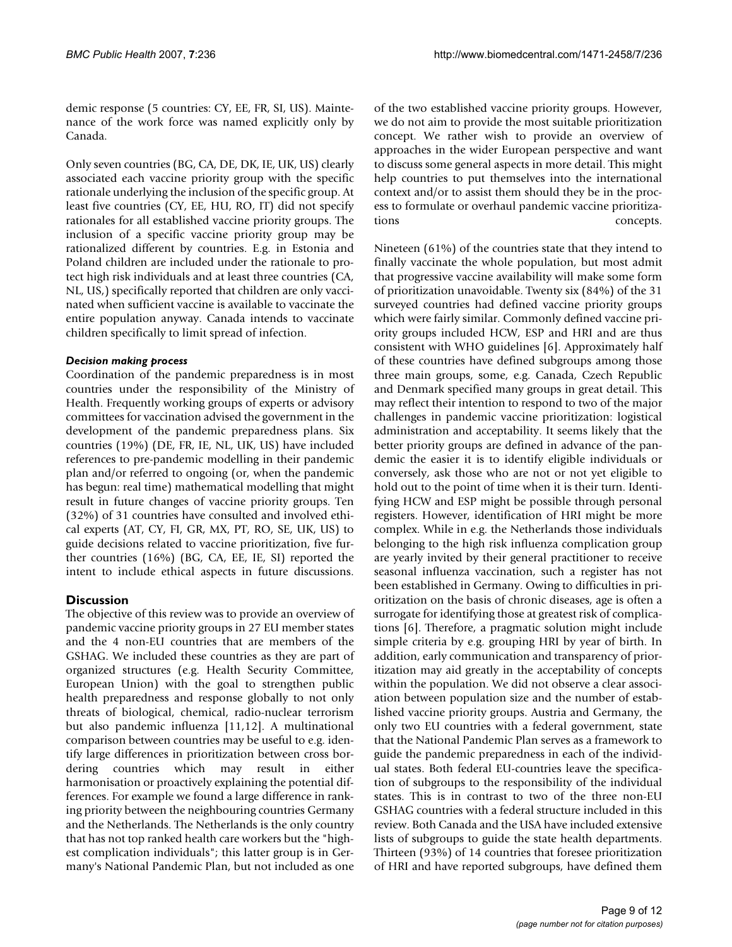demic response (5 countries: CY, EE, FR, SI, US). Maintenance of the work force was named explicitly only by Canada.

Only seven countries (BG, CA, DE, DK, IE, UK, US) clearly associated each vaccine priority group with the specific rationale underlying the inclusion of the specific group. At least five countries (CY, EE, HU, RO, IT) did not specify rationales for all established vaccine priority groups. The inclusion of a specific vaccine priority group may be rationalized different by countries. E.g. in Estonia and Poland children are included under the rationale to protect high risk individuals and at least three countries (CA, NL, US,) specifically reported that children are only vaccinated when sufficient vaccine is available to vaccinate the entire population anyway. Canada intends to vaccinate children specifically to limit spread of infection.

#### *Decision making process*

Coordination of the pandemic preparedness is in most countries under the responsibility of the Ministry of Health. Frequently working groups of experts or advisory committees for vaccination advised the government in the development of the pandemic preparedness plans. Six countries (19%) (DE, FR, IE, NL, UK, US) have included references to pre-pandemic modelling in their pandemic plan and/or referred to ongoing (or, when the pandemic has begun: real time) mathematical modelling that might result in future changes of vaccine priority groups. Ten (32%) of 31 countries have consulted and involved ethical experts (AT, CY, FI, GR, MX, PT, RO, SE, UK, US) to guide decisions related to vaccine prioritization, five further countries (16%) (BG, CA, EE, IE, SI) reported the intent to include ethical aspects in future discussions.

## **Discussion**

The objective of this review was to provide an overview of pandemic vaccine priority groups in 27 EU member states and the 4 non-EU countries that are members of the GSHAG. We included these countries as they are part of organized structures (e.g. Health Security Committee, European Union) with the goal to strengthen public health preparedness and response globally to not only threats of biological, chemical, radio-nuclear terrorism but also pandemic influenza [11,12]. A multinational comparison between countries may be useful to e.g. identify large differences in prioritization between cross bordering countries which may result in either harmonisation or proactively explaining the potential differences. For example we found a large difference in ranking priority between the neighbouring countries Germany and the Netherlands. The Netherlands is the only country that has not top ranked health care workers but the "highest complication individuals"; this latter group is in Germany's National Pandemic Plan, but not included as one

of the two established vaccine priority groups. However, we do not aim to provide the most suitable prioritization concept. We rather wish to provide an overview of approaches in the wider European perspective and want to discuss some general aspects in more detail. This might help countries to put themselves into the international context and/or to assist them should they be in the process to formulate or overhaul pandemic vaccine prioritizations concepts.

Nineteen (61%) of the countries state that they intend to finally vaccinate the whole population, but most admit that progressive vaccine availability will make some form of prioritization unavoidable. Twenty six (84%) of the 31 surveyed countries had defined vaccine priority groups which were fairly similar. Commonly defined vaccine priority groups included HCW, ESP and HRI and are thus consistent with WHO guidelines [6]. Approximately half of these countries have defined subgroups among those three main groups, some, e.g. Canada, Czech Republic and Denmark specified many groups in great detail. This may reflect their intention to respond to two of the major challenges in pandemic vaccine prioritization: logistical administration and acceptability. It seems likely that the better priority groups are defined in advance of the pandemic the easier it is to identify eligible individuals or conversely, ask those who are not or not yet eligible to hold out to the point of time when it is their turn. Identifying HCW and ESP might be possible through personal registers. However, identification of HRI might be more complex. While in e.g. the Netherlands those individuals belonging to the high risk influenza complication group are yearly invited by their general practitioner to receive seasonal influenza vaccination, such a register has not been established in Germany. Owing to difficulties in prioritization on the basis of chronic diseases, age is often a surrogate for identifying those at greatest risk of complications [6]. Therefore, a pragmatic solution might include simple criteria by e.g. grouping HRI by year of birth. In addition, early communication and transparency of prioritization may aid greatly in the acceptability of concepts within the population. We did not observe a clear association between population size and the number of established vaccine priority groups. Austria and Germany, the only two EU countries with a federal government, state that the National Pandemic Plan serves as a framework to guide the pandemic preparedness in each of the individual states. Both federal EU-countries leave the specification of subgroups to the responsibility of the individual states. This is in contrast to two of the three non-EU GSHAG countries with a federal structure included in this review. Both Canada and the USA have included extensive lists of subgroups to guide the state health departments. Thirteen (93%) of 14 countries that foresee prioritization of HRI and have reported subgroups, have defined them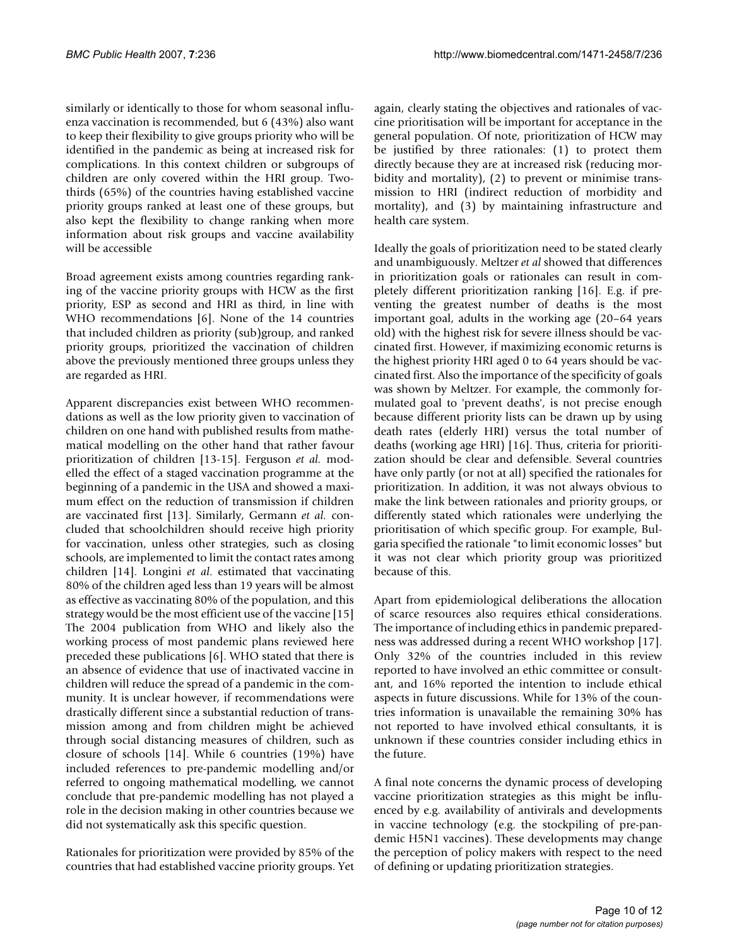similarly or identically to those for whom seasonal influenza vaccination is recommended, but 6 (43%) also want to keep their flexibility to give groups priority who will be identified in the pandemic as being at increased risk for complications. In this context children or subgroups of children are only covered within the HRI group. Twothirds (65%) of the countries having established vaccine priority groups ranked at least one of these groups, but also kept the flexibility to change ranking when more information about risk groups and vaccine availability will be accessible

Broad agreement exists among countries regarding ranking of the vaccine priority groups with HCW as the first priority, ESP as second and HRI as third, in line with WHO recommendations [6]. None of the 14 countries that included children as priority (sub)group, and ranked priority groups, prioritized the vaccination of children above the previously mentioned three groups unless they are regarded as HRI.

Apparent discrepancies exist between WHO recommendations as well as the low priority given to vaccination of children on one hand with published results from mathematical modelling on the other hand that rather favour prioritization of children [13-15]. Ferguson *et al.* modelled the effect of a staged vaccination programme at the beginning of a pandemic in the USA and showed a maximum effect on the reduction of transmission if children are vaccinated first [13]. Similarly, Germann *et al.* concluded that schoolchildren should receive high priority for vaccination, unless other strategies, such as closing schools, are implemented to limit the contact rates among children [14]. Longini *et al*. estimated that vaccinating 80% of the children aged less than 19 years will be almost as effective as vaccinating 80% of the population, and this strategy would be the most efficient use of the vaccine [15] The 2004 publication from WHO and likely also the working process of most pandemic plans reviewed here preceded these publications [6]. WHO stated that there is an absence of evidence that use of inactivated vaccine in children will reduce the spread of a pandemic in the community. It is unclear however, if recommendations were drastically different since a substantial reduction of transmission among and from children might be achieved through social distancing measures of children, such as closure of schools [14]. While 6 countries (19%) have included references to pre-pandemic modelling and/or referred to ongoing mathematical modelling, we cannot conclude that pre-pandemic modelling has not played a role in the decision making in other countries because we did not systematically ask this specific question.

Rationales for prioritization were provided by 85% of the countries that had established vaccine priority groups. Yet again, clearly stating the objectives and rationales of vaccine prioritisation will be important for acceptance in the general population. Of note, prioritization of HCW may be justified by three rationales: (1) to protect them directly because they are at increased risk (reducing morbidity and mortality), (2) to prevent or minimise transmission to HRI (indirect reduction of morbidity and mortality), and (3) by maintaining infrastructure and health care system.

Ideally the goals of prioritization need to be stated clearly and unambiguously. Meltzer *et al* showed that differences in prioritization goals or rationales can result in completely different prioritization ranking [16]. E.g. if preventing the greatest number of deaths is the most important goal, adults in the working age (20–64 years old) with the highest risk for severe illness should be vaccinated first. However, if maximizing economic returns is the highest priority HRI aged 0 to 64 years should be vaccinated first. Also the importance of the specificity of goals was shown by Meltzer. For example, the commonly formulated goal to 'prevent deaths', is not precise enough because different priority lists can be drawn up by using death rates (elderly HRI) versus the total number of deaths (working age HRI) [16]. Thus, criteria for prioritization should be clear and defensible. Several countries have only partly (or not at all) specified the rationales for prioritization. In addition, it was not always obvious to make the link between rationales and priority groups, or differently stated which rationales were underlying the prioritisation of which specific group. For example, Bulgaria specified the rationale "to limit economic losses" but it was not clear which priority group was prioritized because of this.

Apart from epidemiological deliberations the allocation of scarce resources also requires ethical considerations. The importance of including ethics in pandemic preparedness was addressed during a recent WHO workshop [17]. Only 32% of the countries included in this review reported to have involved an ethic committee or consultant, and 16% reported the intention to include ethical aspects in future discussions. While for 13% of the countries information is unavailable the remaining 30% has not reported to have involved ethical consultants, it is unknown if these countries consider including ethics in the future.

A final note concerns the dynamic process of developing vaccine prioritization strategies as this might be influenced by e.g. availability of antivirals and developments in vaccine technology (e.g. the stockpiling of pre-pandemic H5N1 vaccines). These developments may change the perception of policy makers with respect to the need of defining or updating prioritization strategies.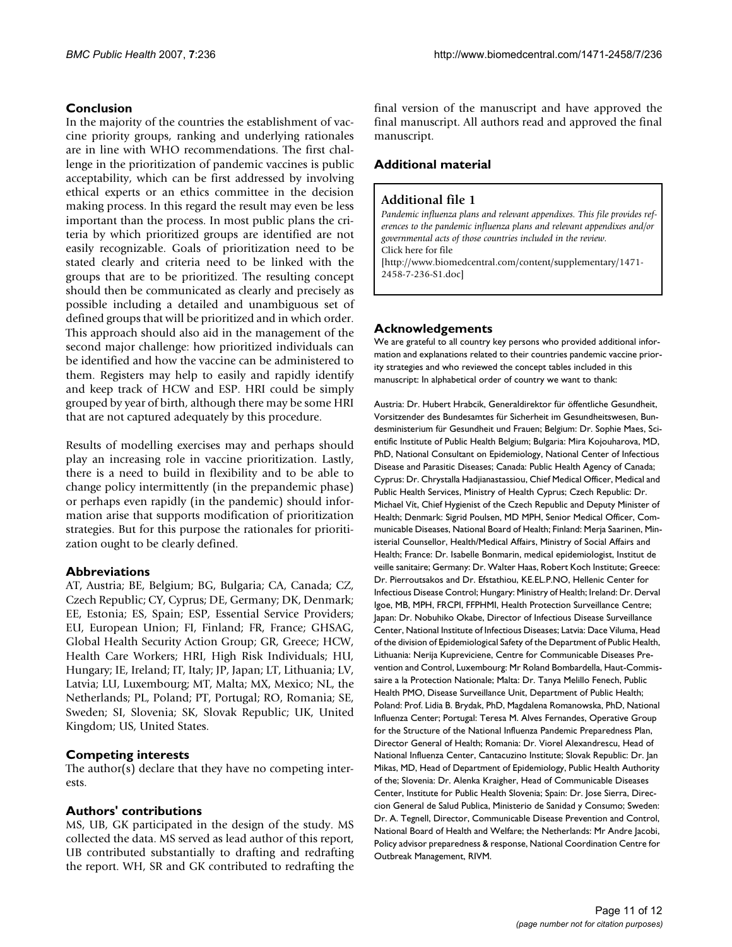## **Conclusion**

In the majority of the countries the establishment of vaccine priority groups, ranking and underlying rationales are in line with WHO recommendations. The first challenge in the prioritization of pandemic vaccines is public acceptability, which can be first addressed by involving ethical experts or an ethics committee in the decision making process. In this regard the result may even be less important than the process. In most public plans the criteria by which prioritized groups are identified are not easily recognizable. Goals of prioritization need to be stated clearly and criteria need to be linked with the groups that are to be prioritized. The resulting concept should then be communicated as clearly and precisely as possible including a detailed and unambiguous set of defined groups that will be prioritized and in which order. This approach should also aid in the management of the second major challenge: how prioritized individuals can be identified and how the vaccine can be administered to them. Registers may help to easily and rapidly identify and keep track of HCW and ESP. HRI could be simply grouped by year of birth, although there may be some HRI that are not captured adequately by this procedure.

Results of modelling exercises may and perhaps should play an increasing role in vaccine prioritization. Lastly, there is a need to build in flexibility and to be able to change policy intermittently (in the prepandemic phase) or perhaps even rapidly (in the pandemic) should information arise that supports modification of prioritization strategies. But for this purpose the rationales for prioritization ought to be clearly defined.

## **Abbreviations**

AT, Austria; BE, Belgium; BG, Bulgaria; CA, Canada; CZ, Czech Republic; CY, Cyprus; DE, Germany; DK, Denmark; EE, Estonia; ES, Spain; ESP, Essential Service Providers; EU, European Union; FI, Finland; FR, France; GHSAG, Global Health Security Action Group; GR, Greece; HCW, Health Care Workers; HRI, High Risk Individuals; HU, Hungary; IE, Ireland; IT, Italy; JP, Japan; LT, Lithuania; LV, Latvia; LU, Luxembourg; MT, Malta; MX, Mexico; NL, the Netherlands; PL, Poland; PT, Portugal; RO, Romania; SE, Sweden; SI, Slovenia; SK, Slovak Republic; UK, United Kingdom; US, United States.

## **Competing interests**

The author(s) declare that they have no competing interests.

## **Authors' contributions**

MS, UB, GK participated in the design of the study. MS collected the data. MS served as lead author of this report, UB contributed substantially to drafting and redrafting the report. WH, SR and GK contributed to redrafting the final version of the manuscript and have approved the final manuscript. All authors read and approved the final manuscript.

# **Additional material**

## **Additional file 1**

*Pandemic influenza plans and relevant appendixes. This file provides references to the pandemic influenza plans and relevant appendixes and/or governmental acts of those countries included in the review.* Click here for file

[\[http://www.biomedcentral.com/content/supplementary/1471-](http://www.biomedcentral.com/content/supplementary/1471-2458-7-236-S1.doc) 2458-7-236-S1.doc]

## **Acknowledgements**

We are grateful to all country key persons who provided additional information and explanations related to their countries pandemic vaccine priority strategies and who reviewed the concept tables included in this manuscript: In alphabetical order of country we want to thank:

Austria: Dr. Hubert Hrabcik, Generaldirektor für öffentliche Gesundheit, Vorsitzender des Bundesamtes für Sicherheit im Gesundheitswesen, Bundesministerium für Gesundheit und Frauen; Belgium: Dr. Sophie Maes, Scientific Institute of Public Health Belgium; Bulgaria: Mira Kojouharova, MD, PhD, National Consultant on Epidemiology, National Center of Infectious Disease and Parasitic Diseases; Canada: Public Health Agency of Canada; Cyprus: Dr. Chrystalla Hadjianastassiou, Chief Medical Officer, Medical and Public Health Services, Ministry of Health Cyprus; Czech Republic: Dr. Michael Vít, Chief Hygienist of the Czech Republic and Deputy Minister of Health; Denmark: Sigrid Poulsen, MD MPH, Senior Medical Officer, Communicable Diseases, National Board of Health; Finland: Merja Saarinen, Ministerial Counsellor, Health/Medical Affairs, Ministry of Social Affairs and Health; France: Dr. Isabelle Bonmarin, medical epidemiologist, Institut de veille sanitaire; Germany: Dr. Walter Haas, Robert Koch Institute; Greece: Dr. Pierroutsakos and Dr. Efstathiou, KE.EL.P.NO, Hellenic Center for Infectious Disease Control; Hungary: Ministry of Health; Ireland: Dr. Derval Igoe, MB, MPH, FRCPI, FFPHMI, Health Protection Surveillance Centre; Japan: Dr. Nobuhiko Okabe, Director of Infectious Disease Surveillance Center, National Institute of Infectious Diseases; Latvia: Dace Viluma, Head of the division of Epidemiological Safety of the Department of Public Health, Lithuania: Nerija Kupreviciene, Centre for Communicable Diseases Prevention and Control, Luxembourg: Mr Roland Bombardella, Haut-Commissaire a la Protection Nationale; Malta: Dr. Tanya Melillo Fenech, Public Health PMO, Disease Surveillance Unit, Department of Public Health; Poland: Prof. Lidia B. Brydak, PhD, Magdalena Romanowska, PhD, National Influenza Center; Portugal: Teresa M. Alves Fernandes, Operative Group for the Structure of the National Influenza Pandemic Preparedness Plan, Director General of Health; Romania: Dr. Viorel Alexandrescu, Head of National Influenza Center, Cantacuzino Institute; Slovak Republic: Dr. Jan Mikas, MD, Head of Department of Epidemiology, Public Health Authority of the; Slovenia: Dr. Alenka Kraigher, Head of Communicable Diseases Center, Institute for Public Health Slovenia; Spain: Dr. Jose Sierra, Direccion General de Salud Publica, Ministerio de Sanidad y Consumo; Sweden: Dr. A. Tegnell, Director, Communicable Disease Prevention and Control, National Board of Health and Welfare; the Netherlands: Mr Andre Jacobi, Policy advisor preparedness & response, National Coordination Centre for Outbreak Management, RIVM.